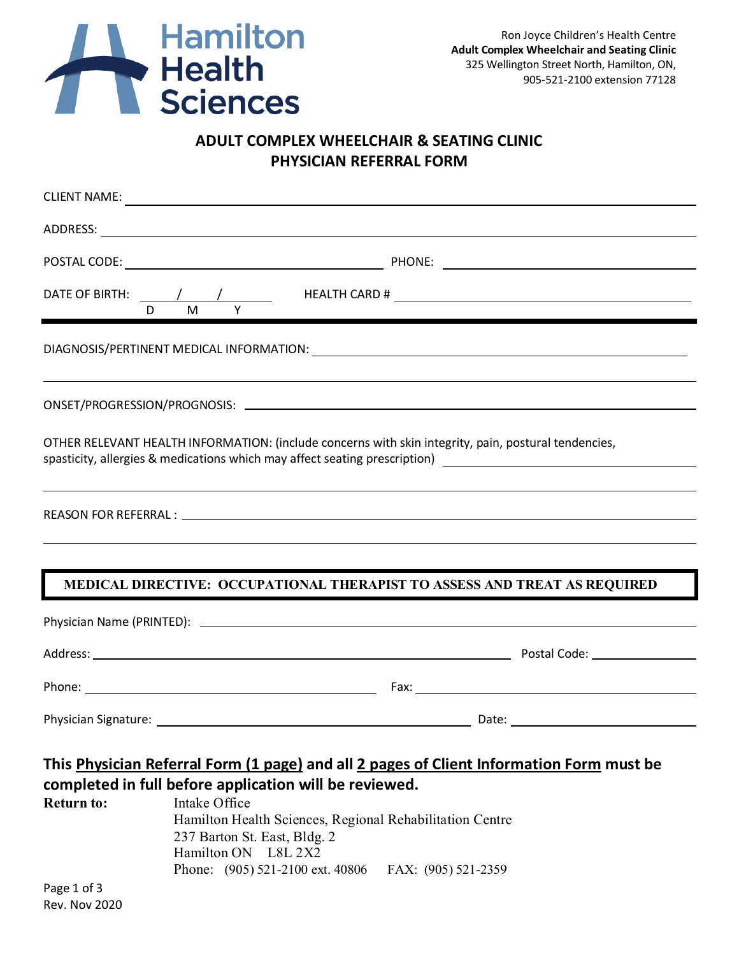

## **ADULT COMPLEX WHEELCHAIR & SEATING CLINIC PHYSICIAN REFERRAL FORM**

| D.                | DATE OF BIRTH: \bodd \bodd \bodd \bodd \bodd \bodd \bodd \bodd \bodd \bodd \bodd \bodd \bodd \bodd \bodd \bodd \bodd \bodd \bodd \bodd \bodd \bodd \bodd \bodd \bodd \bodd \bodd \bodd \bodd \bodd \bodd \bodd \bodd \bodd \bo<br>M <sub>1</sub><br>Y                                                                                  |  |  |
|-------------------|----------------------------------------------------------------------------------------------------------------------------------------------------------------------------------------------------------------------------------------------------------------------------------------------------------------------------------------|--|--|
|                   | ,我们也不会有什么。""我们的人,我们也不会有什么?""我们的人,我们也不会有什么?""我们的人,我们也不会有什么?""我们的人,我们也不会有什么?""我们的人                                                                                                                                                                                                                                                       |  |  |
|                   |                                                                                                                                                                                                                                                                                                                                        |  |  |
|                   | OTHER RELEVANT HEALTH INFORMATION: (include concerns with skin integrity, pain, postural tendencies,<br>spasticity, allergies & medications which may affect seating prescription) [100] [100] [100] [100] [100] [100] [100] [100] [100] [100] [100] [100] [100] [100] [100] [100] [100] [100] [100] [100] [100] [100] [100] [100] [10 |  |  |
|                   |                                                                                                                                                                                                                                                                                                                                        |  |  |
|                   |                                                                                                                                                                                                                                                                                                                                        |  |  |
|                   | MEDICAL DIRECTIVE: OCCUPATIONAL THERAPIST TO ASSESS AND TREAT AS REQUIRED                                                                                                                                                                                                                                                              |  |  |
|                   | Physician Name (PRINTED): Laterature and the control of the control of the control of the control of the control of the control of the control of the control of the control of the control of the control of the control of t                                                                                                         |  |  |
|                   |                                                                                                                                                                                                                                                                                                                                        |  |  |
|                   |                                                                                                                                                                                                                                                                                                                                        |  |  |
|                   |                                                                                                                                                                                                                                                                                                                                        |  |  |
|                   | This Physician Referral Form (1 page) and all 2 pages of Client Information Form must be<br>completed in full before application will be reviewed.                                                                                                                                                                                     |  |  |
| <b>Return to:</b> | Intake Office<br>Hamilton Health Sciences, Regional Rehabilitation Centre<br>237 Barton St. East, Bldg. 2<br>Hamilton ON L8L 2X2                                                                                                                                                                                                       |  |  |
|                   | Phone: (905) 521-2100 ext. 40806<br>FAX: (905) 521-2359                                                                                                                                                                                                                                                                                |  |  |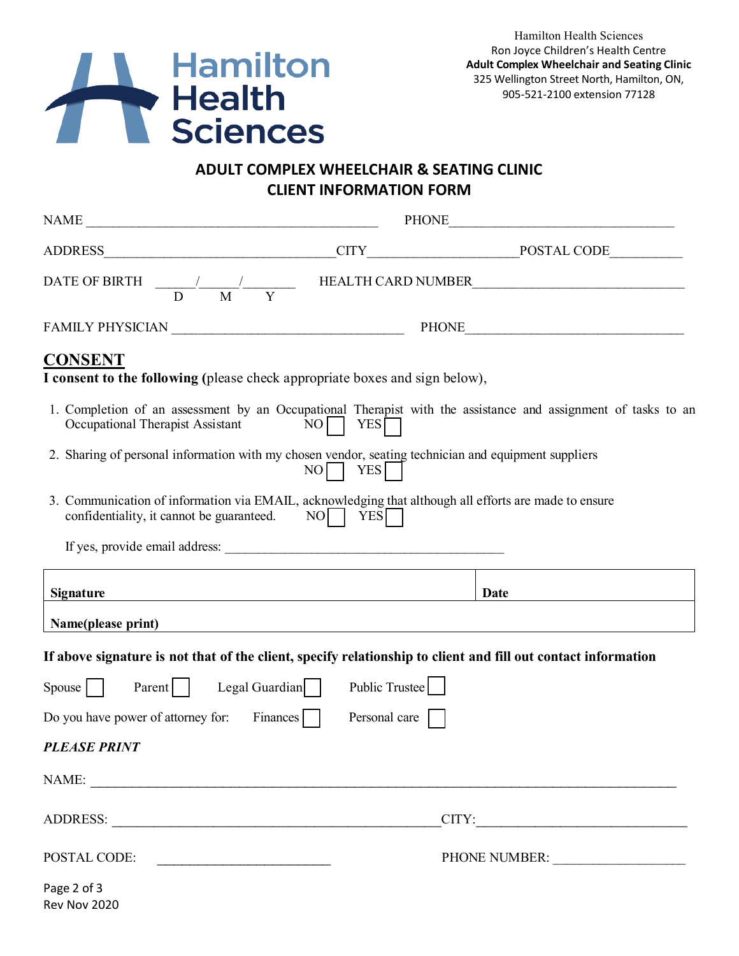

## **ADULT COMPLEX WHEELCHAIR & SEATING CLINIC CLIENT INFORMATION FORM**

|                                                                                                                                                    |                                  | PHONE THE PHONE                                                                                               |  |  |
|----------------------------------------------------------------------------------------------------------------------------------------------------|----------------------------------|---------------------------------------------------------------------------------------------------------------|--|--|
|                                                                                                                                                    |                                  |                                                                                                               |  |  |
|                                                                                                                                                    |                                  | DATE OF BIRTH $\frac{1}{D}$ $\frac{1}{M}$ $\frac{1}{Y}$ HEALTH CARD NUMBER                                    |  |  |
|                                                                                                                                                    |                                  |                                                                                                               |  |  |
| <b>CONSENT</b><br>I consent to the following (please check appropriate boxes and sign below),                                                      |                                  |                                                                                                               |  |  |
| Occupational Therapist Assistant                                                                                                                   | $NO$ $YES$                       | 1. Completion of an assessment by an Occupational Therapist with the assistance and assignment of tasks to an |  |  |
| 2. Sharing of personal information with my chosen vendor, seating technician and equipment suppliers                                               | NO   YES                         |                                                                                                               |  |  |
| 3. Communication of information via EMAIL, acknowledging that although all efforts are made to ensure<br>confidentiality, it cannot be guaranteed. | $NO$  <br><b>YES</b>             |                                                                                                               |  |  |
|                                                                                                                                                    |                                  |                                                                                                               |  |  |
| <b>Signature</b>                                                                                                                                   |                                  | Date                                                                                                          |  |  |
| Name(please print)                                                                                                                                 |                                  |                                                                                                               |  |  |
|                                                                                                                                                    |                                  | If above signature is not that of the client, specify relationship to client and fill out contact information |  |  |
| $Spouse$  <br>Parent                                                                                                                               | Public Trustee<br>Legal Guardian |                                                                                                               |  |  |
| Do you have power of attorney for:                                                                                                                 | Finances    <br>Personal care    |                                                                                                               |  |  |
| <b>PLEASE PRINT</b>                                                                                                                                |                                  |                                                                                                               |  |  |
| NAME:                                                                                                                                              |                                  |                                                                                                               |  |  |
|                                                                                                                                                    |                                  | CITY:                                                                                                         |  |  |
| POSTAL CODE:                                                                                                                                       |                                  |                                                                                                               |  |  |
| Page 2 of 3<br>Rev Nov 2020                                                                                                                        |                                  |                                                                                                               |  |  |